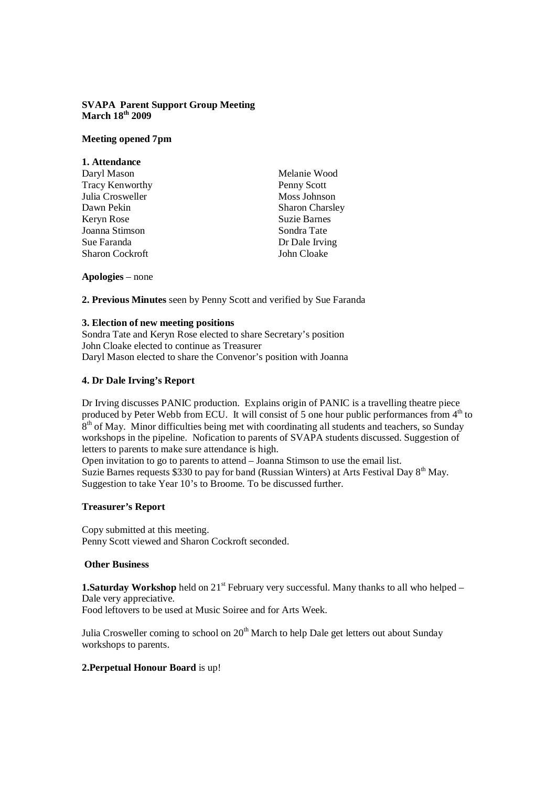## **SVAPA Parent Support Group Meeting March 18th 2009**

## **Meeting opened 7pm**

| 1. Attendance          |                        |
|------------------------|------------------------|
| Daryl Mason            | Melanie Wood           |
| Tracy Kenworthy        | Penny Scott            |
| Julia Crosweller       | Moss Johnson           |
| Dawn Pekin             | <b>Sharon Charsley</b> |
| Keryn Rose             | <b>Suzie Barnes</b>    |
| Joanna Stimson         | Sondra Tate            |
| Sue Faranda            | Dr Dale Irving         |
| <b>Sharon Cockroft</b> | John Cloake            |
|                        |                        |

**Apologies** – none

**2. Previous Minutes** seen by Penny Scott and verified by Sue Faranda

#### **3. Election of new meeting positions**

Sondra Tate and Keryn Rose elected to share Secretary's position John Cloake elected to continue as Treasurer Daryl Mason elected to share the Convenor's position with Joanna

# **4. Dr Dale Irving's Report**

Dr Irving discusses PANIC production. Explains origin of PANIC is a travelling theatre piece produced by Peter Webb from ECU. It will consist of 5 one hour public performances from 4<sup>th</sup> to  $8<sup>th</sup>$  of May. Minor difficulties being met with coordinating all students and teachers, so Sunday workshops in the pipeline. Nofication to parents of SVAPA students discussed. Suggestion of letters to parents to make sure attendance is high.

Open invitation to go to parents to attend – Joanna Stimson to use the email list. Suzie Barnes requests \$330 to pay for band (Russian Winters) at Arts Festival Day 8<sup>th</sup> May. Suggestion to take Year 10's to Broome. To be discussed further.

# **Treasurer's Report**

Copy submitted at this meeting. Penny Scott viewed and Sharon Cockroft seconded.

# **Other Business**

**1.Saturday Workshop** held on 21<sup>st</sup> February very successful. Many thanks to all who helped – Dale very appreciative.

Food leftovers to be used at Music Soiree and for Arts Week.

Julia Crosweller coming to school on 20<sup>th</sup> March to help Dale get letters out about Sunday workshops to parents.

# **2.Perpetual Honour Board** is up!